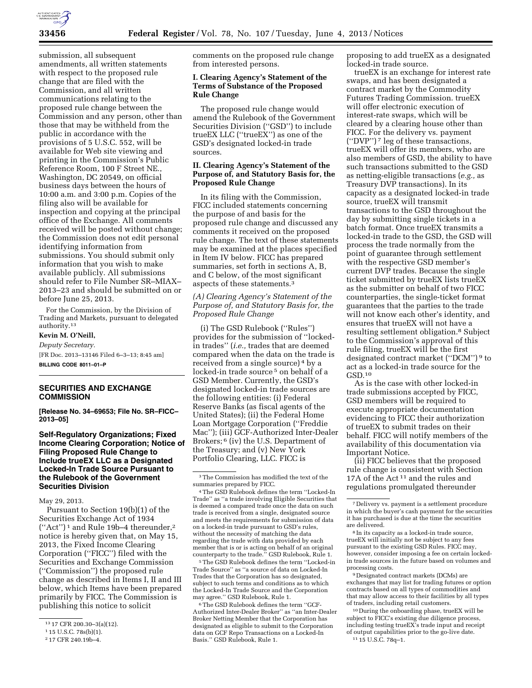

submission, all subsequent amendments, all written statements with respect to the proposed rule change that are filed with the Commission, and all written communications relating to the proposed rule change between the Commission and any person, other than those that may be withheld from the public in accordance with the provisions of 5 U.S.C. 552, will be available for Web site viewing and printing in the Commission's Public Reference Room, 100 F Street NE., Washington, DC 20549, on official business days between the hours of 10:00 a.m. and 3:00 p.m. Copies of the filing also will be available for inspection and copying at the principal office of the Exchange. All comments received will be posted without change; the Commission does not edit personal identifying information from submissions. You should submit only information that you wish to make available publicly. All submissions should refer to File Number SR–MIAX– 2013–23 and should be submitted on or before June 25, 2013.

For the Commission, by the Division of Trading and Markets, pursuant to delegated authority.13

**Kevin M. O'Neill,**  *Deputy Secretary.*  [FR Doc. 2013–13146 Filed 6–3–13; 8:45 am] **BILLING CODE 8011–01–P** 

## **SECURITIES AND EXCHANGE COMMISSION**

**[Release No. 34–69653; File No. SR–FICC– 2013–05]** 

**Self-Regulatory Organizations; Fixed Income Clearing Corporation; Notice of Filing Proposed Rule Change to Include trueEX LLC as a Designated Locked-In Trade Source Pursuant to the Rulebook of the Government Securities Division** 

#### May 29, 2013.

Pursuant to Section 19(b)(1) of the Securities Exchange Act of 1934  $("Act")^1$  and Rule 19b-4 thereunder,<sup>2</sup> notice is hereby given that, on May 15, 2013, the Fixed Income Clearing Corporation (''FICC'') filed with the Securities and Exchange Commission (''Commission'') the proposed rule change as described in Items I, II and III below, which Items have been prepared primarily by FICC. The Commission is publishing this notice to solicit

comments on the proposed rule change from interested persons.

## **I. Clearing Agency's Statement of the Terms of Substance of the Proposed Rule Change**

The proposed rule change would amend the Rulebook of the Government Securities Division (''GSD'') to include trueEX LLC (''trueEX'') as one of the GSD's designated locked-in trade sources.

## **II. Clearing Agency's Statement of the Purpose of, and Statutory Basis for, the Proposed Rule Change**

In its filing with the Commission, FICC included statements concerning the purpose of and basis for the proposed rule change and discussed any comments it received on the proposed rule change. The text of these statements may be examined at the places specified in Item IV below. FICC has prepared summaries, set forth in sections A, B, and C below, of the most significant aspects of these statements.3

*(A) Clearing Agency's Statement of the Purpose of, and Statutory Basis for, the Proposed Rule Change* 

(i) The GSD Rulebook (''Rules'') provides for the submission of ''lockedin trades'' (*i.e.,* trades that are deemed compared when the data on the trade is received from a single source) 4 by a locked-in trade source<sup>5</sup> on behalf of a GSD Member. Currently, the GSD's designated locked-in trade sources are the following entities: (i) Federal Reserve Banks (as fiscal agents of the United States); (ii) the Federal Home Loan Mortgage Corporation (''Freddie Mac''); (iii) GCF-Authorized Inter-Dealer Brokers; 6 (iv) the U.S. Department of the Treasury; and (v) New York Portfolio Clearing, LLC. FICC is

5The GSD Rulebook defines the term ''Locked-in Trade Source'' as ''a source of data on Locked-In Trades that the Corporation has so designated, subject to such terms and conditions as to which the Locked-In Trade Source and the Corporation may agree.'' GSD Rulebook, Rule 1.

6The GSD Rulebook defines the term ''GCF-Authorized Inter-Dealer Broker'' as ''an Inter-Dealer Broker Netting Member that the Corporation has designated as eligible to submit to the Corporation data on GCF Repo Transactions on a Locked-In Basis.'' GSD Rulebook, Rule 1.

proposing to add trueEX as a designated locked-in trade source.

trueEX is an exchange for interest rate swaps, and has been designated a contract market by the Commodity Futures Trading Commission. trueEX will offer electronic execution of interest-rate swaps, which will be cleared by a clearing house other than FICC. For the delivery vs. payment (''DVP'') 7 leg of these transactions, trueEX will offer its members, who are also members of GSD, the ability to have such transactions submitted to the GSD as netting-eligible transactions (*e.g.,* as Treasury DVP transactions). In its capacity as a designated locked-in trade source, trueEX will transmit transactions to the GSD throughout the day by submitting single tickets in a batch format. Once trueEX transmits a locked-in trade to the GSD, the GSD will process the trade normally from the point of guarantee through settlement with the respective GSD member's current DVP trades. Because the single ticket submitted by trueEX lists trueEX as the submitter on behalf of two FICC counterparties, the single-ticket format guarantees that the parties to the trade will not know each other's identity, and ensures that trueEX will not have a resulting settlement obligation.8 Subject to the Commission's approval of this rule filing, trueEX will be the first designated contract market (''DCM'') 9 to act as a locked-in trade source for the GSD.10

As is the case with other locked-in trade submissions accepted by FICC, GSD members will be required to execute appropriate documentation evidencing to FICC their authorization of trueEX to submit trades on their behalf. FICC will notify members of the availability of this documentation via Important Notice.

(ii) FICC believes that the proposed rule change is consistent with Section 17A of the Act 11 and the rules and regulations promulgated thereunder

9 Designated contract markets (DCMs) are exchanges that may list for trading futures or option contracts based on all types of commodities and that may allow access to their facilities by all types of traders, including retail customers.

10 During the onboarding phase, trueEX will be subject to FICC's existing due diligence process, including testing trueEX's trade input and receipt of output capabilities prior to the go-live date. 11 15 U.S.C. 78q–1.

<sup>13</sup> 17 CFR 200.30–3(a)(12).

<sup>1</sup> 15 U.S.C. 78s(b)(1).

<sup>2</sup> 17 CFR 240.19b–4.

<sup>3</sup>The Commission has modified the text of the summaries prepared by FICC.

<sup>4</sup>The GSD Rulebook defines the term ''Locked-In Trade'' as ''a trade involving Eligible Securities that is deemed a compared trade once the data on such trade is received from a single, designated source and meets the requirements for submission of data on a locked-in trade pursuant to GSD's rules, without the necessity of matching the data regarding the trade with data provided by each member that is or is acting on behalf of an original counterparty to the trade.'' GSD Rulebook, Rule 1.

<sup>7</sup> Delivery vs. payment is a settlement procedure in which the buyer's cash payment for the securities it has purchased is due at the time the securities are delivered.

<sup>8</sup> In its capacity as a locked-in trade source, trueEX will initially not be subject to any fees pursuant to the existing GSD Rules. FICC may, however, consider imposing a fee on certain lockedin trade sources in the future based on volumes and processing costs.